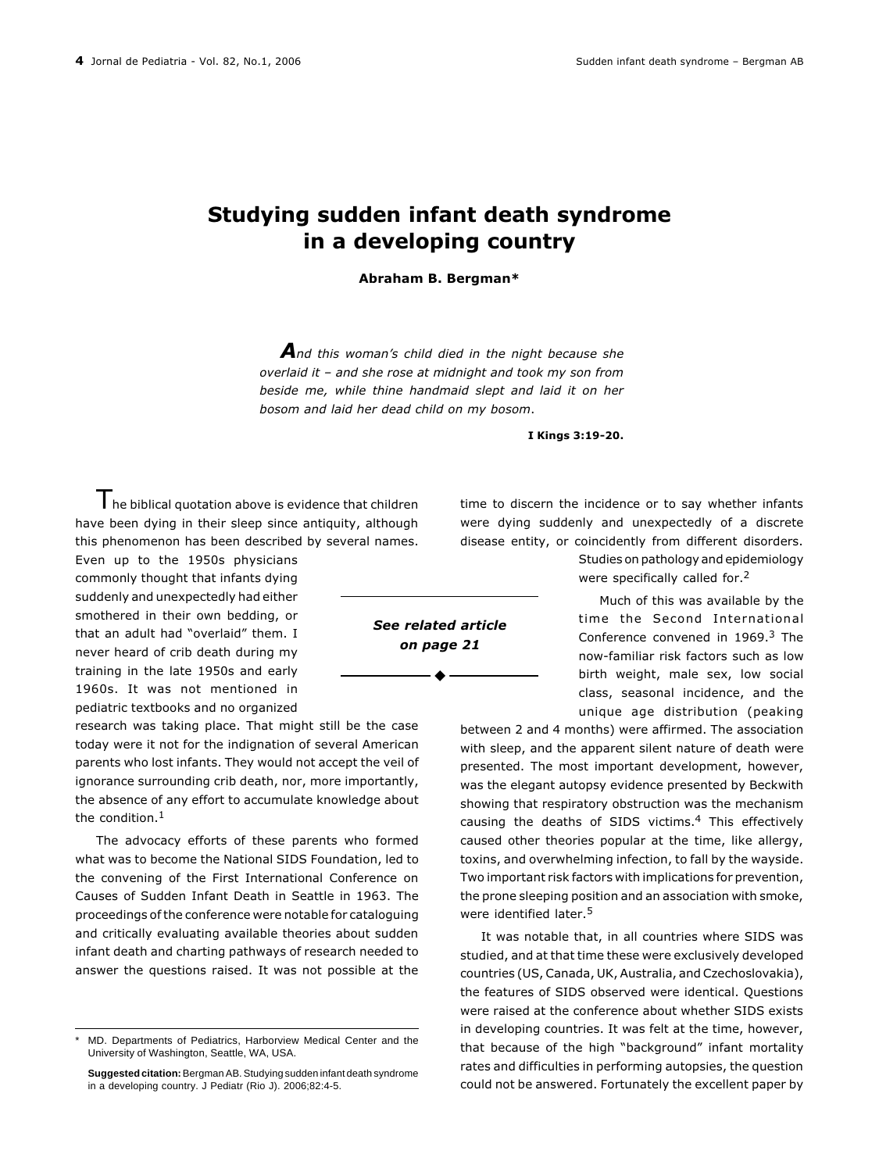## Studying sudden infant death syndrome in a developing country

## Abraham B. Bergman\*

And this woman's child died in the night because she overlaid it  $-$  and she rose at midnight and took my son from beside me, while thine handmaid slept and laid it on her bosom and laid her dead child on my bosom.

I Kings 3:19-20.

The biblical quotation above is evidence that children have been dying in their sleep since antiquity, although this phenomenon has been described by several names.

Even up to the 1950s physicians commonly thought that infants dying suddenly and unexpectedly had either smothered in their own bedding, or that an adult had "overlaid" them. I never heard of crib death during my training in the late 1950s and early 1960s. It was not mentioned in pediatric textbooks and no organized

research was taking place. That might still be the case today were it not for the indignation of several American parents who lost infants. They would not accept the veil of ignorance surrounding crib death, nor, more importantly, the absence of any effort to accumulate knowledge about the condition.<sup>1</sup>

The advocacy efforts of these parents who formed what was to become the National SIDS Foundation, led to the convening of the First International Conference on Causes of Sudden Infant Death in Seattle in 1963. The proceedings of the conference were notable for cataloguing and critically evaluating available theories about sudden infant death and charting pathways of research needed to answer the questions raised. It was not possible at the

time to discern the incidence or to say whether infants were dying suddenly and unexpectedly of a discrete disease entity, or coincidently from different disorders.

> Studies on pathology and epidemiology were specifically called for.<sup>2</sup>

> Much of this was available by the time the Second International Conference convened in 1969.3 The now-familiar risk factors such as low birth weight, male sex, low social class, seasonal incidence, and the unique age distribution (peaking

between 2 and 4 months) were affirmed. The association with sleep, and the apparent silent nature of death were presented. The most important development, however, was the elegant autopsy evidence presented by Beckwith showing that respiratory obstruction was the mechanism causing the deaths of SIDS victims.4 This effectively caused other theories popular at the time, like allergy, toxins, and overwhelming infection, to fall by the wayside. Two important risk factors with implications for prevention, the prone sleeping position and an association with smoke, were identified later.<sup>5</sup>

It was notable that, in all countries where SIDS was studied, and at that time these were exclusively developed countries (US, Canada, UK, Australia, and Czechoslovakia), the features of SIDS observed were identical. Questions were raised at the conference about whether SIDS exists in developing countries. It was felt at the time, however, that because of the high "background" infant mortality rates and difficulties in performing autopsies, the question could not be answered. Fortunately the excellent paper by

See related article on page 21

MD. Departments of Pediatrics, Harborview Medical Center and the University of Washington, Seattle, WA, USA.

**Suggested citation:** Bergman AB. Studying sudden infant death syndrome in a developing country. J Pediatr (Rio J). 2006;82:4-5.